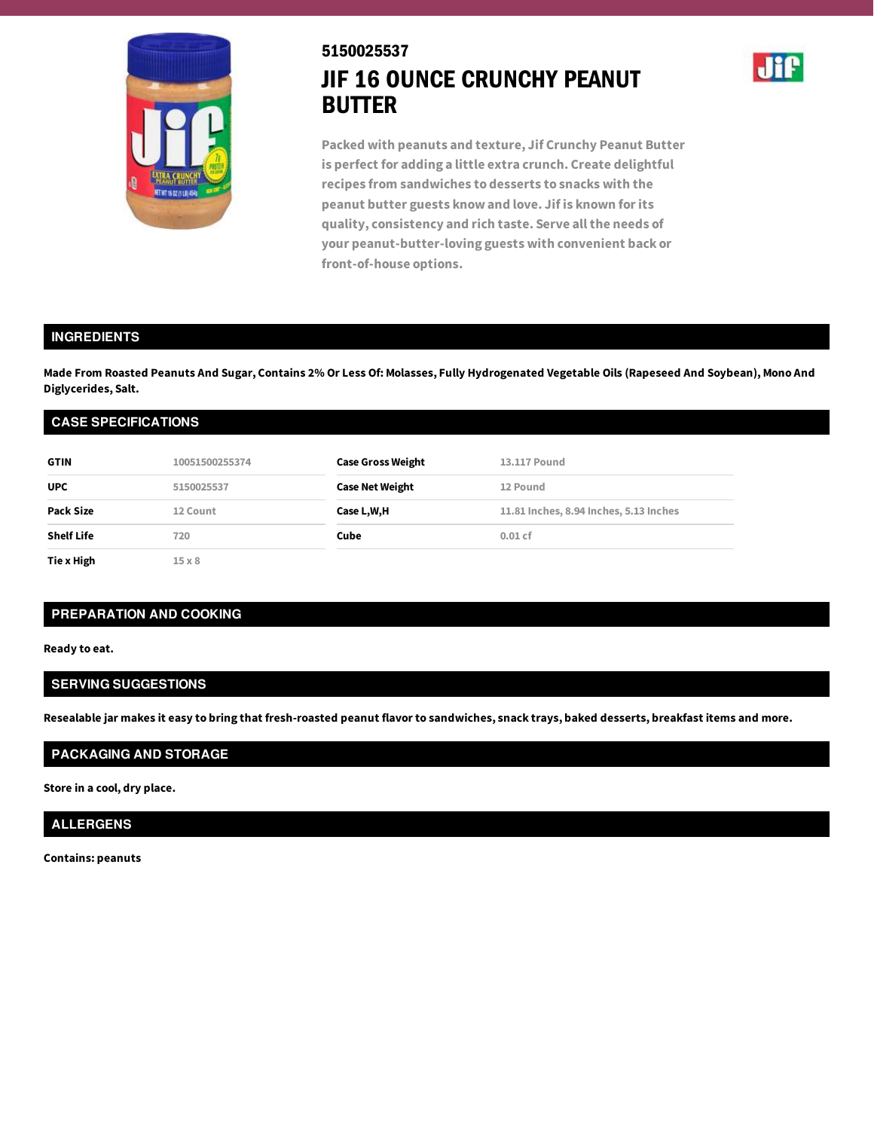

# 5150025537 JIF 16 OUNCE CRUNCHY PEANUT BUTTER



**Packed with peanuts and texture, Jif Crunchy Peanut Butter is perfect for adding a little extra crunch. Create delightful recipes from sandwiches to desserts to snacks with the peanut butter guests know and love. Jif is known forits quality, consistency and rich taste. Serve allthe needs of your peanut-butter-loving guests with convenient back or front-of-house options.**

#### **INGREDIENTS**

Made From Roasted Peanuts And Sugar, Contains 2% Or Less Of: Molasses, Fully Hydrogenated Vegetable Oils (Rapeseed And Soybean), Mono And **Diglycerides, Salt.**

| <b>CASE SPECIFICATIONS</b> |                |                          |                                        |  |
|----------------------------|----------------|--------------------------|----------------------------------------|--|
| <b>GTIN</b>                | 10051500255374 | <b>Case Gross Weight</b> | 13.117 Pound                           |  |
| <b>UPC</b>                 | 5150025537     | <b>Case Net Weight</b>   | 12 Pound                               |  |
| <b>Pack Size</b>           | 12 Count       | Case L,W,H               | 11.81 Inches, 8.94 Inches, 5.13 Inches |  |
| <b>Shelf Life</b>          | 720            | Cube                     | $0.01$ cf                              |  |
| Tie x High                 | $15 \times 8$  |                          |                                        |  |

#### **PREPARATION AND COOKING**

**Ready to eat.**

## **SERVING SUGGESTIONS**

Resealable jar makes it easy to bring that fresh-roasted peanut flavor to sandwiches, snack trays, baked desserts, breakfast items and more.

## **PACKAGING AND STORAGE**

**Store in a cool, dry place.**

## **ALLERGENS**

**Contains: peanuts**